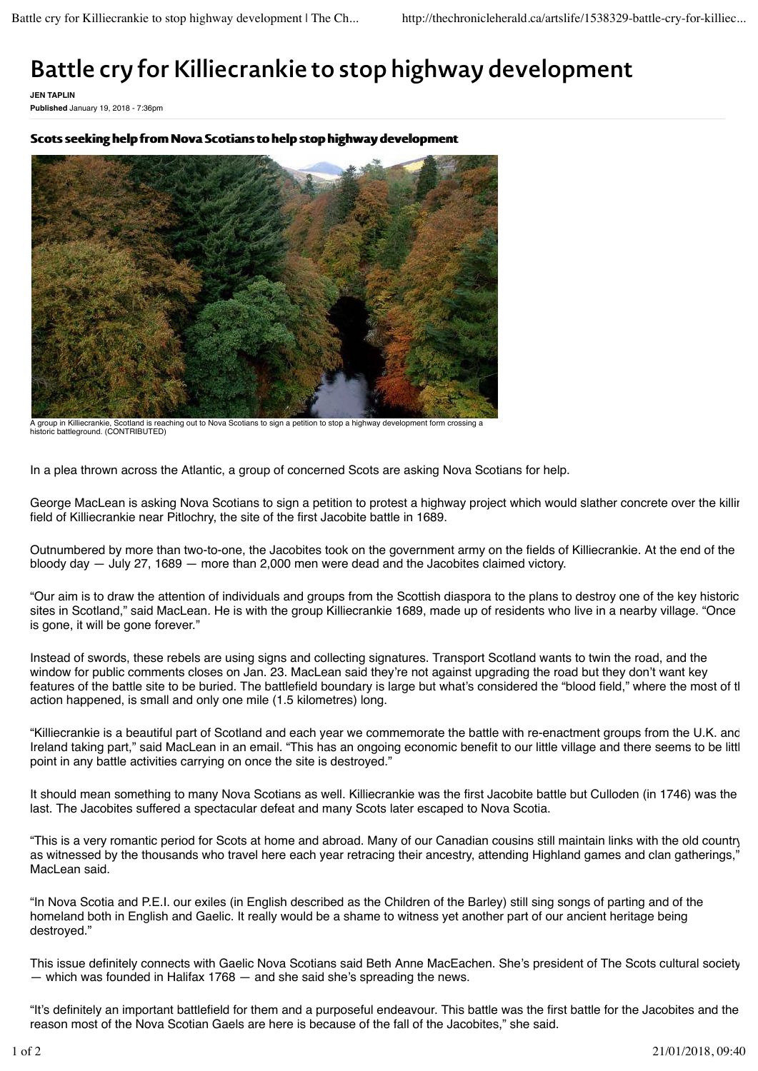## **Battle cry for Killiecrankie to stop highway development**

**JEN TAPLIN Published** January 19, 2018 - 7:36pm

Scots seeking help from Nova Scotians to help stop highway development



A group in Killiecrankie, Scotland is reaching out to Nova Scotians to sign a petition to stop a highway development form crossing a historic battleground. (CONTRIBUTED)

In a plea thrown across the Atlantic, a group of concerned Scots are asking Nova Scotians for help.

George MacLean is asking Nova Scotians to sign a petition to protest a highway project which would slather concrete over the killir field of Killiecrankie near Pitlochry, the site of the first Jacobite battle in 1689.

Outnumbered by more than two-to-one, the Jacobites took on the government army on the fields of Killiecrankie. At the end of the bloody day — July 27, 1689 — more than 2,000 men were dead and the Jacobites claimed victory.

"Our aim is to draw the attention of individuals and groups from the Scottish diaspora to the plans to destroy one of the key historic sites in Scotland," said MacLean. He is with the group Killiecrankie 1689, made up of residents who live in a nearby village. "Once is gone, it will be gone forever."

Instead of swords, these rebels are using signs and collecting signatures. Transport Scotland wants to twin the road, and the window for public comments closes on Jan. 23. MacLean said they're not against upgrading the road but they don't want key features of the battle site to be buried. The battlefield boundary is large but what's considered the "blood field," where the most of tl action happened, is small and only one mile (1.5 kilometres) long.

"Killiecrankie is a beautiful part of Scotland and each year we commemorate the battle with re-enactment groups from the U.K. and Ireland taking part," said MacLean in an email. "This has an ongoing economic benefit to our little village and there seems to be littl point in any battle activities carrying on once the site is destroyed."

It should mean something to many Nova Scotians as well. Killiecrankie was the first Jacobite battle but Culloden (in 1746) was the last. The Jacobites suffered a spectacular defeat and many Scots later escaped to Nova Scotia.

"This is a very romantic period for Scots at home and abroad. Many of our Canadian cousins still maintain links with the old country as witnessed by the thousands who travel here each year retracing their ancestry, attending Highland games and clan gatherings," MacLean said.

"In Nova Scotia and P.E.I. our exiles (in English described as the Children of the Barley) still sing songs of parting and of the homeland both in English and Gaelic. It really would be a shame to witness yet another part of our ancient heritage being destroyed."

This issue definitely connects with Gaelic Nova Scotians said Beth Anne MacEachen. She's president of The Scots cultural society — which was founded in Halifax 1768 — and she said she's spreading the news.

"It's definitely an important battlefield for them and a purposeful endeavour. This battle was the first battle for the Jacobites and the reason most of the Nova Scotian Gaels are here is because of the fall of the Jacobites," she said.